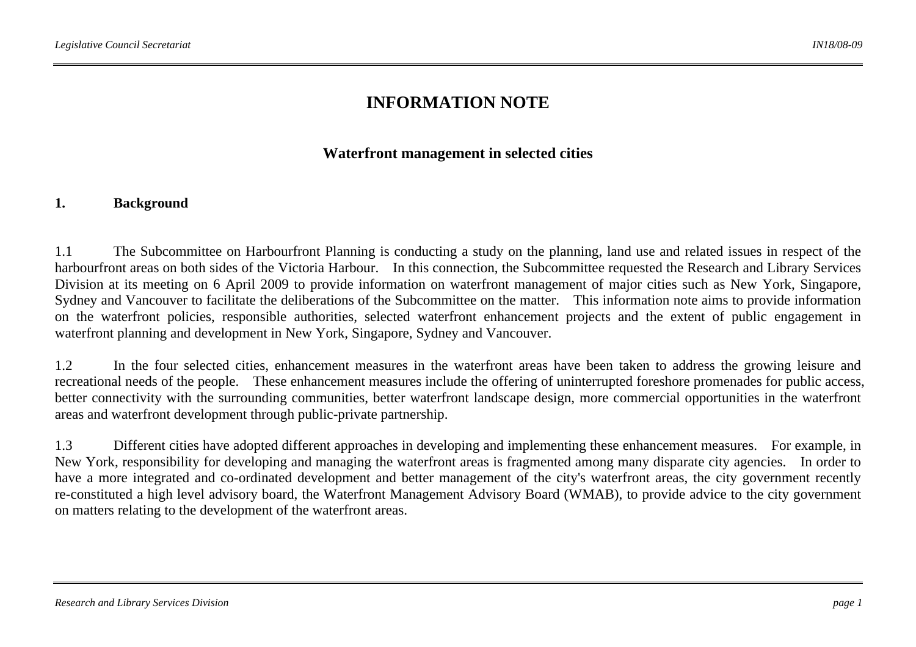# **INFORMATION NOTE**

## **Waterfront management in selected cities**

#### **1. Background**

1.1 The Subcommittee on Harbourfront Planning is conducting a study on the planning, land use and related issues in respect of the harbourfront areas on both sides of the Victoria Harbour. In this connection, the Subcommittee requested the Research and Library Services Division at its meeting on 6 April 2009 to provide information on waterfront management of major cities such as New York, Singapore, Sydney and Vancouver to facilitate the deliberations of the Subcommittee on the matter. This information note aims to provide information on the waterfront policies, responsible authorities, selected waterfront enhancement projects and the extent of public engagement in waterfront planning and development in New York, Singapore, Sydney and Vancouver.

1.2 In the four selected cities, enhancement measures in the waterfront areas have been taken to address the growing leisure and recreational needs of the people. These enhancement measures include the offering of uninterrupted foreshore promenades for public access, better connectivity with the surrounding communities, better waterfront landscape design, more commercial opportunities in the waterfront areas and waterfront development through public-private partnership.

1.3 Different cities have adopted different approaches in developing and implementing these enhancement measures. For example, in New York, responsibility for developing and managing the waterfront areas is fragmented among many disparate city agencies. In order to have a more integrated and co-ordinated development and better management of the city's waterfront areas, the city government recently re-constituted a high level advisory board, the Waterfront Management Advisory Board (WMAB), to provide advice to the city government on matters relating to the development of the waterfront areas.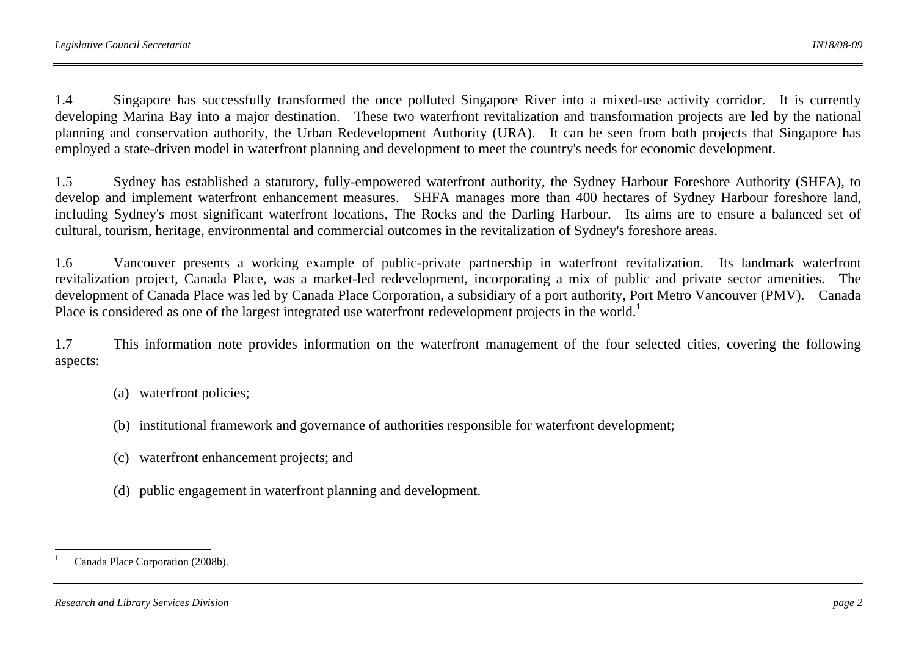1.4 Singapore has successfully transformed the once polluted Singapore River into a mixed-use activity corridor. It is currently developing Marina Bay into a major destination. These two waterfront revitalization and transformation projects are led by the national planning and conservation authority, the Urban Redevelopment Authority (URA). It can be seen from both projects that Singapore has employed a state-driven model in waterfront planning and development to meet the country's needs for economic development.

1.5 Sydney has established a statutory, fully-empowered waterfront authority, the Sydney Harbour Foreshore Authority (SHFA), to develop and implement waterfront enhancement measures. SHFA manages more than 400 hectares of Sydney Harbour foreshore land, including Sydney's most significant waterfront locations, The Rocks and the Darling Harbour. Its aims are to ensure a balanced set of cultural, tourism, heritage, environmental and commercial outcomes in the revitalization of Sydney's foreshore areas.

1.6 Vancouver presents a working example of public-private partnership in waterfront revitalization. Its landmark waterfront revitalization project, Canada Place, was a market-led redevelopment, incorporating a mix of public and private sector amenities. The development of Canada Place was led by Canada Place Corporation, a subsidiary of a port authority, Port Metro Vancouver (PMV). Canada Place is considered as one of the largest integrated use waterfront redevelopment projects in the world.<sup>1</sup>

1.7 This information note provides information on the waterfront management of the four selected cities, covering the following aspects:

- (a) waterfront policies;
- (b) institutional framework and governance of authorities responsible for waterfront development;
- (c) waterfront enhancement projects; and
- (d) public engagement in waterfront planning and development.

Canada Place Corporation (2008b).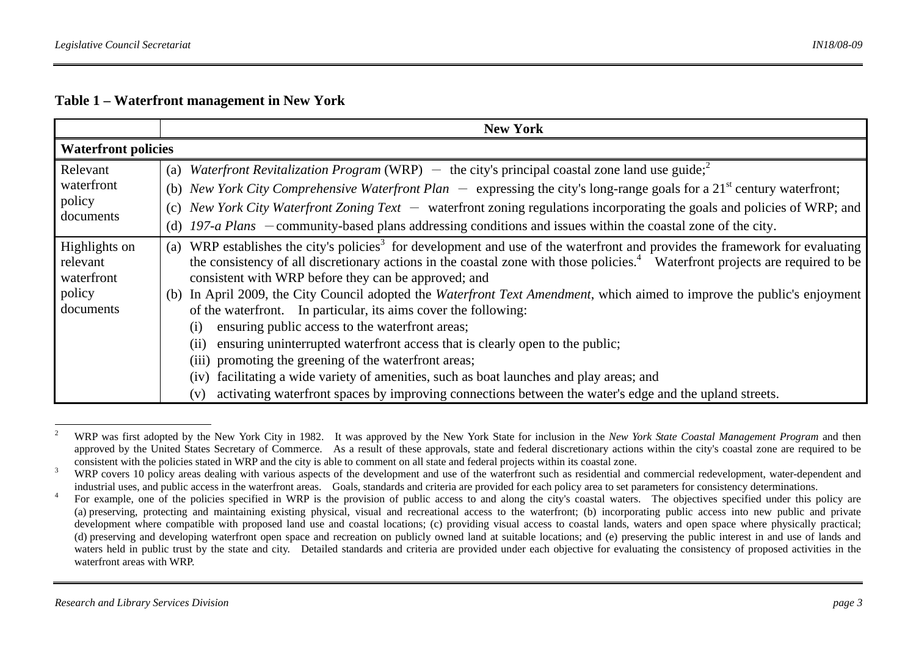|                                               | <b>New York</b>                                                                                                                                                                                                                                                                                                                                                                         |
|-----------------------------------------------|-----------------------------------------------------------------------------------------------------------------------------------------------------------------------------------------------------------------------------------------------------------------------------------------------------------------------------------------------------------------------------------------|
| <b>Waterfront policies</b>                    |                                                                                                                                                                                                                                                                                                                                                                                         |
| Relevant<br>waterfront<br>policy<br>documents | (a) Waterfront Revitalization Program (WRP) – the city's principal coastal zone land use guide; <sup>2</sup><br>(b) New York City Comprehensive Waterfront Plan $-$ expressing the city's long-range goals for a 21 <sup>st</sup> century waterfront;<br>New York City Waterfront Zoning Text $-$ waterfront zoning regulations incorporating the goals and policies of WRP; and<br>(c) |
|                                               | (d) 197-a Plans $-$ community-based plans addressing conditions and issues within the coastal zone of the city.                                                                                                                                                                                                                                                                         |
| Highlights on<br>relevant<br>waterfront       | WRP establishes the city's policies <sup>3</sup> for development and use of the waterfront and provides the framework for evaluating<br>(a)<br>the consistency of all discretionary actions in the coastal zone with those policies. <sup>4</sup> Waterfront projects are required to be<br>consistent with WRP before they can be approved; and                                        |
| policy<br>documents                           | In April 2009, the City Council adopted the Waterfront Text Amendment, which aimed to improve the public's enjoyment<br>(b)<br>of the waterfront. In particular, its aims cover the following:<br>ensuring public access to the waterfront areas;                                                                                                                                       |
|                                               | (i)<br>ensuring uninterrupted waterfront access that is clearly open to the public;<br>(i)<br>(iii) promoting the greening of the waterfront areas;                                                                                                                                                                                                                                     |
|                                               | (iv) facilitating a wide variety of amenities, such as boat launches and play areas; and<br>activating waterfront spaces by improving connections between the water's edge and the upland streets.<br>(v)                                                                                                                                                                               |

<sup>2</sup> WRP was first adopted by the New York City in 1982. It was approved by the New York State for inclusion in the *New York State Coastal Management Program* and then approved by the United States Secretary of Commerce. As a result of these approvals, state and federal discretionary actions within the city's coastal zone are required to be consistent with the policies stated in WRP and the city is able to comment on all state and federal projects within its coastal zone.

<sup>&</sup>lt;sup>3</sup> WRP covers 10 policy areas dealing with various aspects of the development and use of the waterfront such as residential and commercial redevelopment, water-dependent and industrial uses, and public access in the waterfront areas. Goals, standards and criteria are provided for each policy area to set parameters for consistency determinations.

<sup>&</sup>lt;sup>4</sup> For example, one of the policies specified in WRP is the provision of public access to and along the city's coastal waters. The objectives specified under this policy are (a) preserving, protecting and maintaining existing physical, visual and recreational access to the waterfront; (b) incorporating public access into new public and private development where compatible with proposed land use and coastal locations; (c) providing visual access to coastal lands, waters and open space where physically practical; (d) preserving and developing waterfront open space and recreation on publicly owned land at suitable locations; and (e) preserving the public interest in and use of lands and waters held in public trust by the state and city. Detailed standards and criteria are provided under each objective for evaluating the consistency of proposed activities in the waterfront areas with WRP.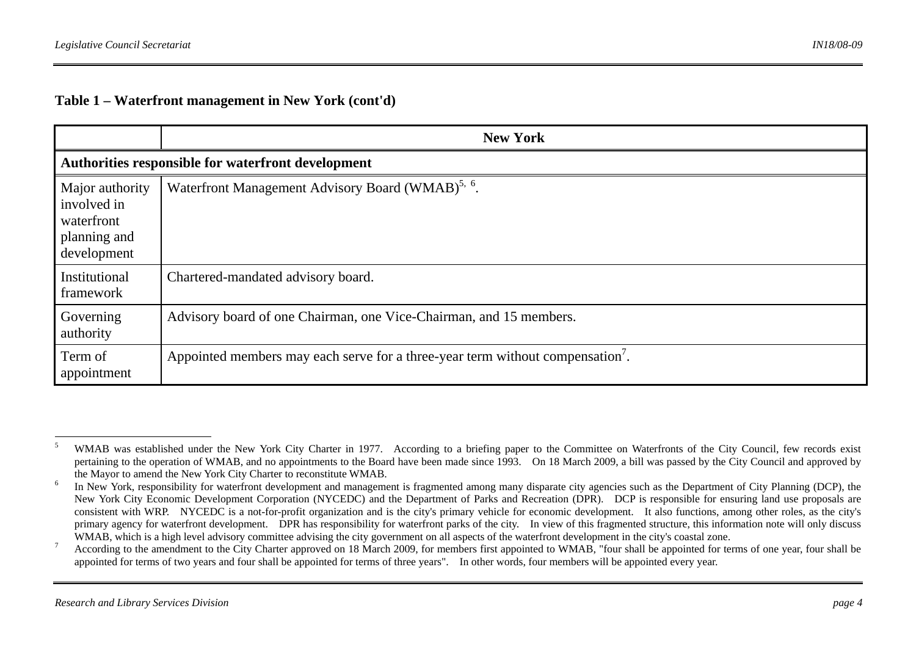|                                                                             | <b>New York</b>                                                               |
|-----------------------------------------------------------------------------|-------------------------------------------------------------------------------|
|                                                                             | Authorities responsible for waterfront development                            |
| Major authority<br>involved in<br>waterfront<br>planning and<br>development | Waterfront Management Advisory Board (WMAB) <sup>5, 6</sup> .                 |
| Institutional<br>framework                                                  | Chartered-mandated advisory board.                                            |
| Governing<br>authority                                                      | Advisory board of one Chairman, one Vice-Chairman, and 15 members.            |
| Term of<br>appointment                                                      | Appointed members may each serve for a three-year term without compensation'. |

<sup>&</sup>lt;sup>5</sup> WMAB was established under the New York City Charter in 1977. According to a briefing paper to the Committee on Waterfronts of the City Council, few records exist pertaining to the operation of WMAB, and no appointments to the Board have been made since 1993. On 18 March 2009, a bill was passed by the City Council and approved by the Mayor to amend the New York City Charter to reconstitute WMAB.

<sup>&</sup>lt;sup>6</sup> In New York, responsibility for waterfront development and management is fragmented among many disparate city agencies such as the Department of City Planning (DCP), the New York City Economic Development Corporation (NYCEDC) and the Department of Parks and Recreation (DPR). DCP is responsible for ensuring land use proposals are consistent with WRP. NYCEDC is a not-for-profit organization and is the city's primary vehicle for economic development. It also functions, among other roles, as the city's primary agency for waterfront development. DPR has responsibility for waterfront parks of the city. In view of this fragmented structure, this information note will only discuss WMAB, which is a high level advisory committee advising the city government on all aspects of the waterfront development in the city's coastal zone.

<sup>&</sup>lt;sup>7</sup> According to the amendment to the City Charter approved on 18 March 2009, for members first appointed to WMAB, "four shall be appointed for terms of one year, four shall be appointed for terms of two years and four shall be appointed for terms of three years". In other words, four members will be appointed every year.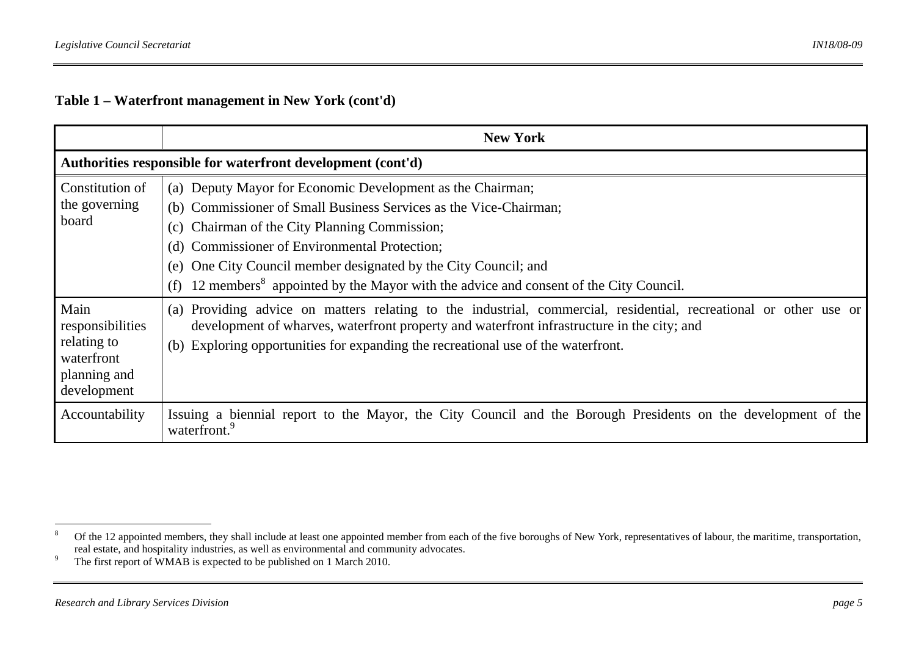|                                                                                      | <b>New York</b>                                                                                                                                                                                                                                                                                                                                                                                                         |
|--------------------------------------------------------------------------------------|-------------------------------------------------------------------------------------------------------------------------------------------------------------------------------------------------------------------------------------------------------------------------------------------------------------------------------------------------------------------------------------------------------------------------|
|                                                                                      | Authorities responsible for waterfront development (cont'd)                                                                                                                                                                                                                                                                                                                                                             |
| Constitution of<br>the governing<br>board                                            | (a) Deputy Mayor for Economic Development as the Chairman;<br>(b) Commissioner of Small Business Services as the Vice-Chairman;<br>Chairman of the City Planning Commission;<br>(c)<br>Commissioner of Environmental Protection;<br>(d)<br>One City Council member designated by the City Council; and<br>(e)<br>12 members <sup>8</sup> appointed by the Mayor with the advice and consent of the City Council.<br>(f) |
| Main<br>responsibilities<br>relating to<br>waterfront<br>planning and<br>development | (a) Providing advice on matters relating to the industrial, commercial, residential, recreational or other use or<br>development of wharves, waterfront property and waterfront infrastructure in the city; and<br>Exploring opportunities for expanding the recreational use of the waterfront.<br>(b)                                                                                                                 |
| Accountability                                                                       | Issuing a biennial report to the Mayor, the City Council and the Borough Presidents on the development of the<br>waterfront. <sup>9</sup>                                                                                                                                                                                                                                                                               |

<sup>&</sup>lt;sup>8</sup> Of the 12 appointed members, they shall include at least one appointed member from each of the five boroughs of New York, representatives of labour, the maritime, transportation, real estate, and hospitality industries, as well as environmental and community advocates.

<sup>&</sup>lt;sup>9</sup> The first report of WMAB is expected to be published on 1 March 2010.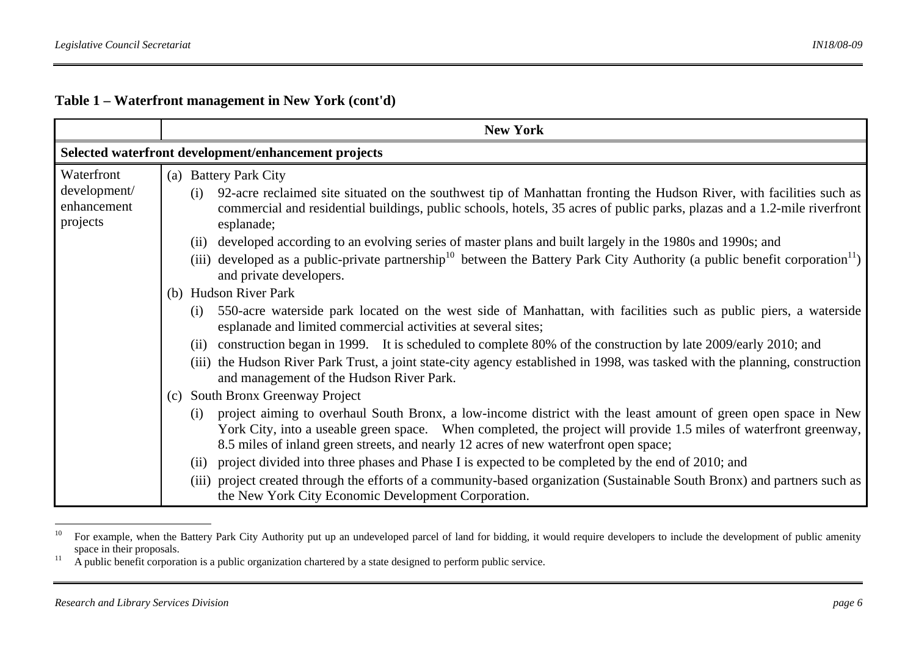|                                         | <b>New York</b>                                                                                                                                                                                                                                                                                                                    |
|-----------------------------------------|------------------------------------------------------------------------------------------------------------------------------------------------------------------------------------------------------------------------------------------------------------------------------------------------------------------------------------|
|                                         | Selected waterfront development/enhancement projects                                                                                                                                                                                                                                                                               |
| Waterfront                              | (a) Battery Park City                                                                                                                                                                                                                                                                                                              |
| development/<br>enhancement<br>projects | 92-acre reclaimed site situated on the southwest tip of Manhattan fronting the Hudson River, with facilities such as<br>(i)<br>commercial and residential buildings, public schools, hotels, 35 acres of public parks, plazas and a 1.2-mile riverfront<br>esplanade;                                                              |
|                                         | developed according to an evolving series of master plans and built largely in the 1980s and 1990s; and<br>(ii)                                                                                                                                                                                                                    |
|                                         | (iii) developed as a public-private partnership <sup>10</sup> between the Battery Park City Authority (a public benefit corporation <sup>11</sup> )<br>and private developers.                                                                                                                                                     |
|                                         | (b) Hudson River Park                                                                                                                                                                                                                                                                                                              |
|                                         | 550-acre waterside park located on the west side of Manhattan, with facilities such as public piers, a waterside<br>(i)<br>esplanade and limited commercial activities at several sites;                                                                                                                                           |
|                                         | construction began in 1999. It is scheduled to complete 80% of the construction by late 2009/early 2010; and<br>(i)                                                                                                                                                                                                                |
|                                         | (iii) the Hudson River Park Trust, a joint state-city agency established in 1998, was tasked with the planning, construction<br>and management of the Hudson River Park.                                                                                                                                                           |
|                                         | South Bronx Greenway Project<br>(c)                                                                                                                                                                                                                                                                                                |
|                                         | project aiming to overhaul South Bronx, a low-income district with the least amount of green open space in New<br>(i)<br>York City, into a useable green space. When completed, the project will provide 1.5 miles of waterfront greenway,<br>8.5 miles of inland green streets, and nearly 12 acres of new waterfront open space; |
|                                         | (ii) project divided into three phases and Phase I is expected to be completed by the end of 2010; and                                                                                                                                                                                                                             |
|                                         | (iii) project created through the efforts of a community-based organization (Sustainable South Bronx) and partners such as<br>the New York City Economic Development Corporation.                                                                                                                                                  |

<sup>&</sup>lt;sup>10</sup> For example, when the Battery Park City Authority put up an undeveloped parcel of land for bidding, it would require developers to include the development of public amenity space in their proposals.

 $11$  A public benefit corporation is a public organization chartered by a state designed to perform public service.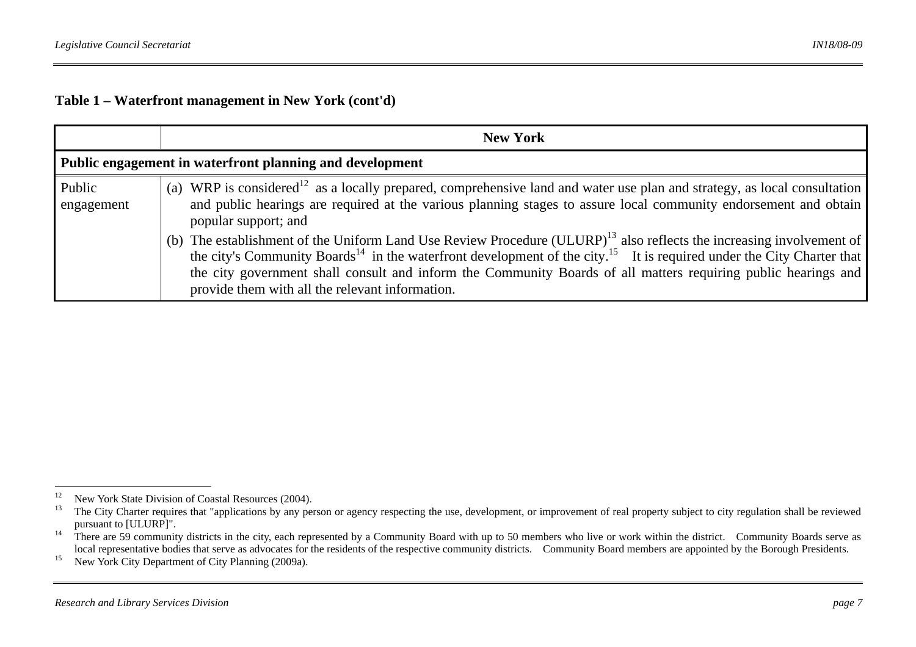|                      | <b>New York</b>                                                                                                                                                                                                                                                                                                                                                                                                                                        |
|----------------------|--------------------------------------------------------------------------------------------------------------------------------------------------------------------------------------------------------------------------------------------------------------------------------------------------------------------------------------------------------------------------------------------------------------------------------------------------------|
|                      | Public engagement in waterfront planning and development                                                                                                                                                                                                                                                                                                                                                                                               |
| Public<br>engagement | (a) WRP is considered <sup>12</sup> as a locally prepared, comprehensive land and water use plan and strategy, as local consultation<br>and public hearings are required at the various planning stages to assure local community endorsement and obtain<br>popular support; and                                                                                                                                                                       |
|                      | (b) The establishment of the Uniform Land Use Review Procedure (ULURP) <sup>13</sup> also reflects the increasing involvement of<br>the city's Community Boards <sup>14</sup> in the waterfront development of the city. <sup>15</sup> It is required under the City Charter that<br>the city government shall consult and inform the Community Boards of all matters requiring public hearings and<br>provide them with all the relevant information. |

<sup>&</sup>lt;sup>12</sup> New York State Division of Coastal Resources (2004).

The City Charter requires that "applications by any person or agency respecting the use, development, or improvement of real property subject to city regulation shall be reviewed pursuant to [ULURP]".

<sup>&</sup>lt;sup>14</sup> There are 59 community districts in the city, each represented by a Community Board with up to 50 members who live or work within the district. Community Boards serve as local representative bodies that serve as advocates for the residents of the respective community districts. Community Board members are appointed by the Borough Presidents.

<sup>&</sup>lt;sup>15</sup> New York City Department of City Planning (2009a).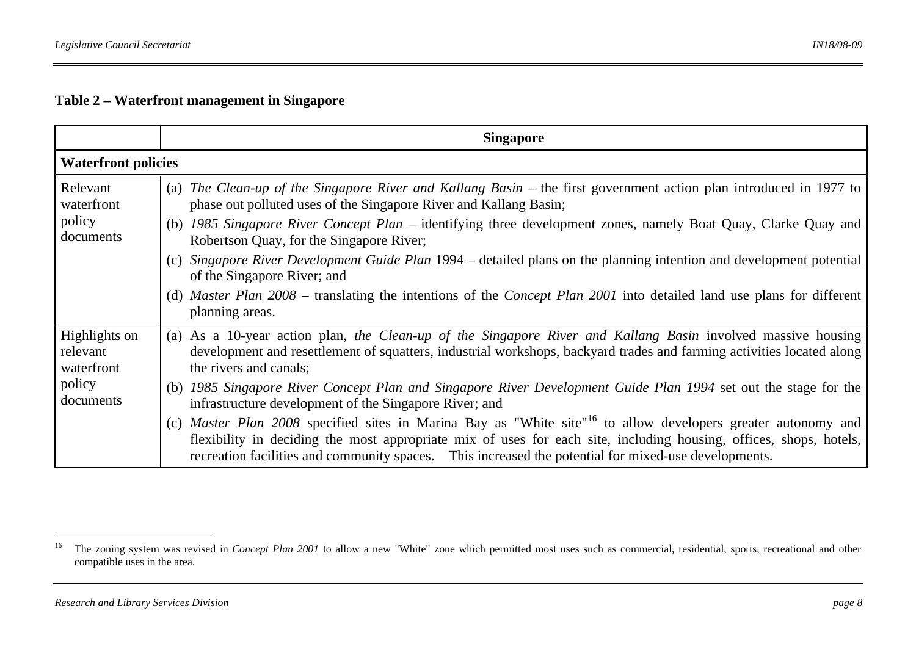|                                                                | <b>Singapore</b>                                                                                                                                                                                                                                                                                                                                        |
|----------------------------------------------------------------|---------------------------------------------------------------------------------------------------------------------------------------------------------------------------------------------------------------------------------------------------------------------------------------------------------------------------------------------------------|
| <b>Waterfront policies</b>                                     |                                                                                                                                                                                                                                                                                                                                                         |
| Relevant<br>waterfront<br>policy<br>documents                  | (a) The Clean-up of the Singapore River and Kallang Basin – the first government action plan introduced in 1977 to<br>phase out polluted uses of the Singapore River and Kallang Basin;                                                                                                                                                                 |
|                                                                | (b) 1985 Singapore River Concept Plan – identifying three development zones, namely Boat Quay, Clarke Quay and<br>Robertson Quay, for the Singapore River;                                                                                                                                                                                              |
|                                                                | (c) Singapore River Development Guide Plan 1994 – detailed plans on the planning intention and development potential<br>of the Singapore River; and                                                                                                                                                                                                     |
|                                                                | (d) Master Plan 2008 – translating the intentions of the Concept Plan 2001 into detailed land use plans for different<br>planning areas.                                                                                                                                                                                                                |
| Highlights on<br>relevant<br>waterfront<br>policy<br>documents | (a) As a 10-year action plan, the Clean-up of the Singapore River and Kallang Basin involved massive housing<br>development and resettlement of squatters, industrial workshops, backyard trades and farming activities located along<br>the rivers and canals;                                                                                         |
|                                                                | (b) 1985 Singapore River Concept Plan and Singapore River Development Guide Plan 1994 set out the stage for the<br>infrastructure development of the Singapore River; and                                                                                                                                                                               |
|                                                                | (c) Master Plan 2008 specified sites in Marina Bay as "White site" <sup>16</sup> to allow developers greater autonomy and<br>flexibility in deciding the most appropriate mix of uses for each site, including housing, offices, shops, hotels,<br>recreation facilities and community spaces. This increased the potential for mixed-use developments. |

<sup>&</sup>lt;sup>16</sup> The zoning system was revised in *Concept Plan 2001* to allow a new "White" zone which permitted most uses such as commercial, residential, sports, recreational and other compatible uses in the area.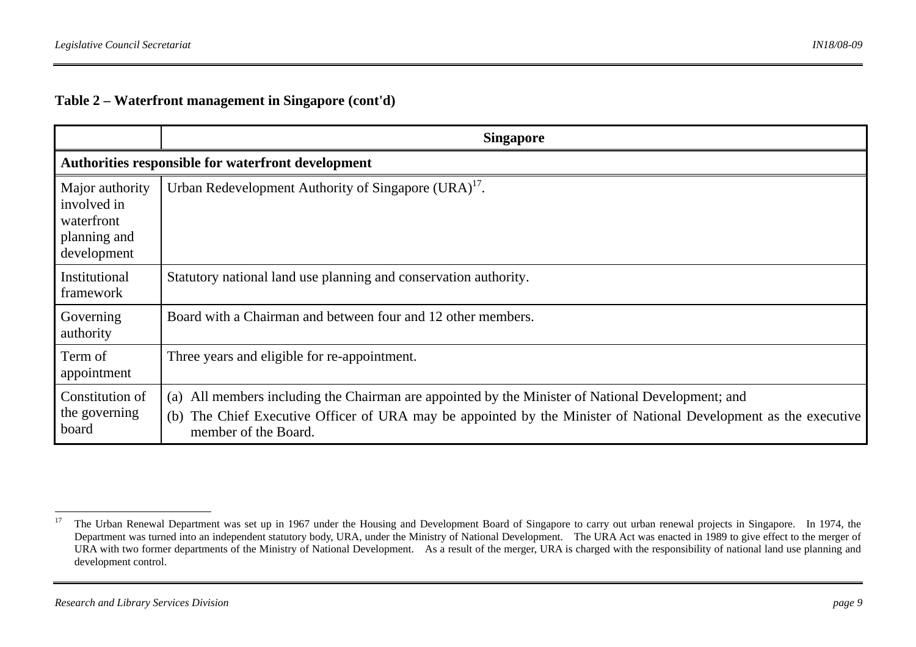|                                                                             | <b>Singapore</b>                                                                                                                                                                                                                                    |
|-----------------------------------------------------------------------------|-----------------------------------------------------------------------------------------------------------------------------------------------------------------------------------------------------------------------------------------------------|
|                                                                             | Authorities responsible for waterfront development                                                                                                                                                                                                  |
| Major authority<br>involved in<br>waterfront<br>planning and<br>development | Urban Redevelopment Authority of Singapore (URA) <sup>17</sup> .                                                                                                                                                                                    |
| Institutional<br>framework                                                  | Statutory national land use planning and conservation authority.                                                                                                                                                                                    |
| Governing<br>authority                                                      | Board with a Chairman and between four and 12 other members.                                                                                                                                                                                        |
| Term of<br>appointment                                                      | Three years and eligible for re-appointment.                                                                                                                                                                                                        |
| Constitution of<br>the governing<br>board                                   | All members including the Chairman are appointed by the Minister of National Development; and<br>(a)<br>The Chief Executive Officer of URA may be appointed by the Minister of National Development as the executive<br>(b)<br>member of the Board. |

<sup>&</sup>lt;sup>17</sup> The Urban Renewal Department was set up in 1967 under the Housing and Development Board of Singapore to carry out urban renewal projects in Singapore. In 1974, the Department was turned into an independent statutory body, URA, under the Ministry of National Development. The URA Act was enacted in 1989 to give effect to the merger of URA with two former departments of the Ministry of National Development. As a result of the merger, URA is charged with the responsibility of national land use planning and development control.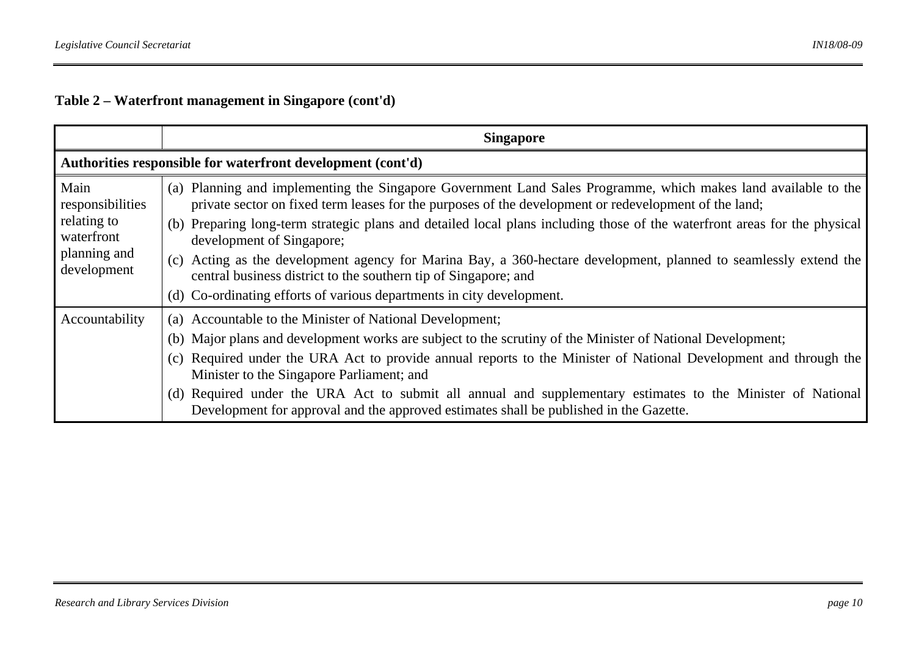|                                                                                      | <b>Singapore</b>                                                                                                                                                                                                        |
|--------------------------------------------------------------------------------------|-------------------------------------------------------------------------------------------------------------------------------------------------------------------------------------------------------------------------|
|                                                                                      | Authorities responsible for waterfront development (cont'd)                                                                                                                                                             |
| Main<br>responsibilities<br>relating to<br>waterfront<br>planning and<br>development | (a) Planning and implementing the Singapore Government Land Sales Programme, which makes land available to the<br>private sector on fixed term leases for the purposes of the development or redevelopment of the land; |
|                                                                                      | (b) Preparing long-term strategic plans and detailed local plans including those of the waterfront areas for the physical<br>development of Singapore;                                                                  |
|                                                                                      | (c) Acting as the development agency for Marina Bay, a 360-hectare development, planned to seamlessly extend the<br>central business district to the southern tip of Singapore; and                                     |
|                                                                                      | (d) Co-ordinating efforts of various departments in city development.                                                                                                                                                   |
| Accountability                                                                       | (a) Accountable to the Minister of National Development;                                                                                                                                                                |
|                                                                                      | (b) Major plans and development works are subject to the scrutiny of the Minister of National Development;                                                                                                              |
|                                                                                      | (c) Required under the URA Act to provide annual reports to the Minister of National Development and through the<br>Minister to the Singapore Parliament; and                                                           |
|                                                                                      | (d) Required under the URA Act to submit all annual and supplementary estimates to the Minister of National<br>Development for approval and the approved estimates shall be published in the Gazette.                   |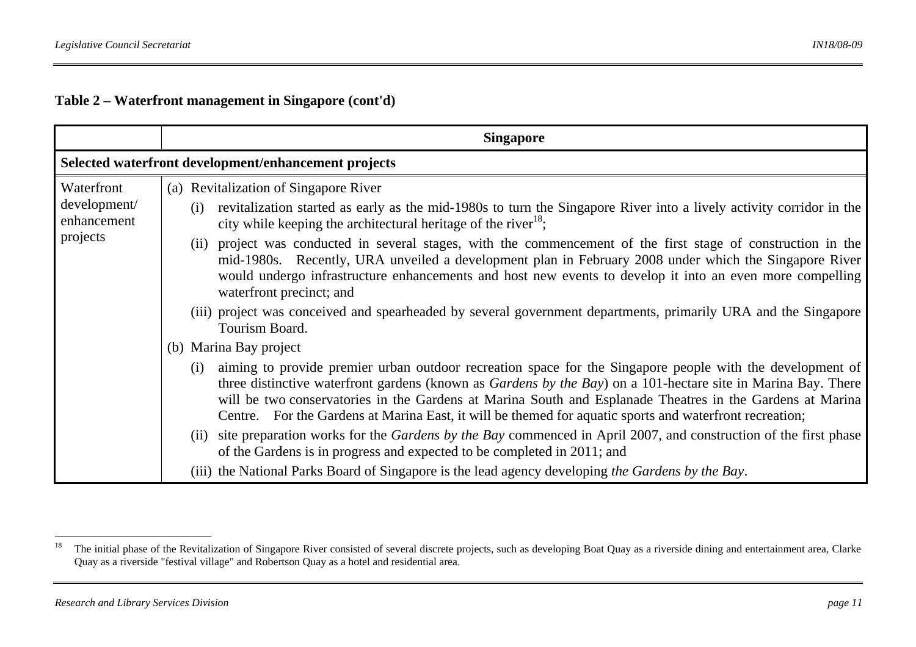|                             | <b>Singapore</b>                                                                                                                                                                                                                                                                                                                                                                                                                                          |
|-----------------------------|-----------------------------------------------------------------------------------------------------------------------------------------------------------------------------------------------------------------------------------------------------------------------------------------------------------------------------------------------------------------------------------------------------------------------------------------------------------|
|                             | Selected waterfront development/enhancement projects                                                                                                                                                                                                                                                                                                                                                                                                      |
| Waterfront                  | (a) Revitalization of Singapore River                                                                                                                                                                                                                                                                                                                                                                                                                     |
| development/<br>enhancement | revitalization started as early as the mid-1980s to turn the Singapore River into a lively activity corridor in the<br>(i)<br>city while keeping the architectural heritage of the river $^{18}$ ;                                                                                                                                                                                                                                                        |
| projects                    | project was conducted in several stages, with the commencement of the first stage of construction in the<br>(11)<br>mid-1980s. Recently, URA unveiled a development plan in February 2008 under which the Singapore River<br>would undergo infrastructure enhancements and host new events to develop it into an even more compelling<br>waterfront precinct; and                                                                                         |
|                             | (iii) project was conceived and spearheaded by several government departments, primarily URA and the Singapore<br>Tourism Board.                                                                                                                                                                                                                                                                                                                          |
|                             | (b) Marina Bay project                                                                                                                                                                                                                                                                                                                                                                                                                                    |
|                             | aiming to provide premier urban outdoor recreation space for the Singapore people with the development of<br>(i)<br>three distinctive waterfront gardens (known as Gardens by the Bay) on a 101-hectare site in Marina Bay. There<br>will be two conservatories in the Gardens at Marina South and Esplanade Theatres in the Gardens at Marina<br>Centre. For the Gardens at Marina East, it will be themed for aquatic sports and waterfront recreation; |
|                             | (ii) site preparation works for the Gardens by the Bay commenced in April 2007, and construction of the first phase<br>of the Gardens is in progress and expected to be completed in 2011; and                                                                                                                                                                                                                                                            |
|                             | (iii) the National Parks Board of Singapore is the lead agency developing the Gardens by the Bay.                                                                                                                                                                                                                                                                                                                                                         |

<sup>&</sup>lt;sup>18</sup> The initial phase of the Revitalization of Singapore River consisted of several discrete projects, such as developing Boat Quay as a riverside dining and entertainment area, Clarke Quay as a riverside "festival village" and Robertson Quay as a hotel and residential area.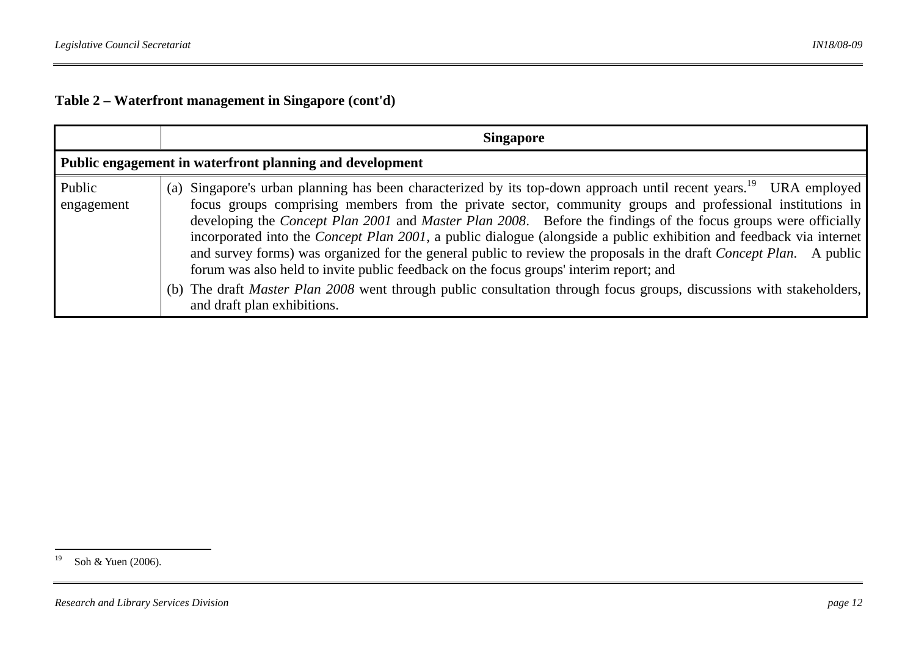|                                                          | <b>Singapore</b>                                                                                                                                                                                                                                                                                                                                                                                                                                                                                                                                                                                                                                                                                                                                                                                                                                                                          |
|----------------------------------------------------------|-------------------------------------------------------------------------------------------------------------------------------------------------------------------------------------------------------------------------------------------------------------------------------------------------------------------------------------------------------------------------------------------------------------------------------------------------------------------------------------------------------------------------------------------------------------------------------------------------------------------------------------------------------------------------------------------------------------------------------------------------------------------------------------------------------------------------------------------------------------------------------------------|
| Public engagement in waterfront planning and development |                                                                                                                                                                                                                                                                                                                                                                                                                                                                                                                                                                                                                                                                                                                                                                                                                                                                                           |
| Public<br>engagement                                     | (a) Singapore's urban planning has been characterized by its top-down approach until recent years. <sup>19</sup> URA employed<br>focus groups comprising members from the private sector, community groups and professional institutions in<br>developing the <i>Concept Plan 2001</i> and <i>Master Plan 2008</i> . Before the findings of the focus groups were officially<br>incorporated into the Concept Plan 2001, a public dialogue (alongside a public exhibition and feedback via internet<br>and survey forms) was organized for the general public to review the proposals in the draft <i>Concept Plan</i> . A public<br>forum was also held to invite public feedback on the focus groups' interim report; and<br>(b) The draft <i>Master Plan 2008</i> went through public consultation through focus groups, discussions with stakeholders,<br>and draft plan exhibitions. |

<sup>&</sup>lt;sup>19</sup> Soh & Yuen (2006).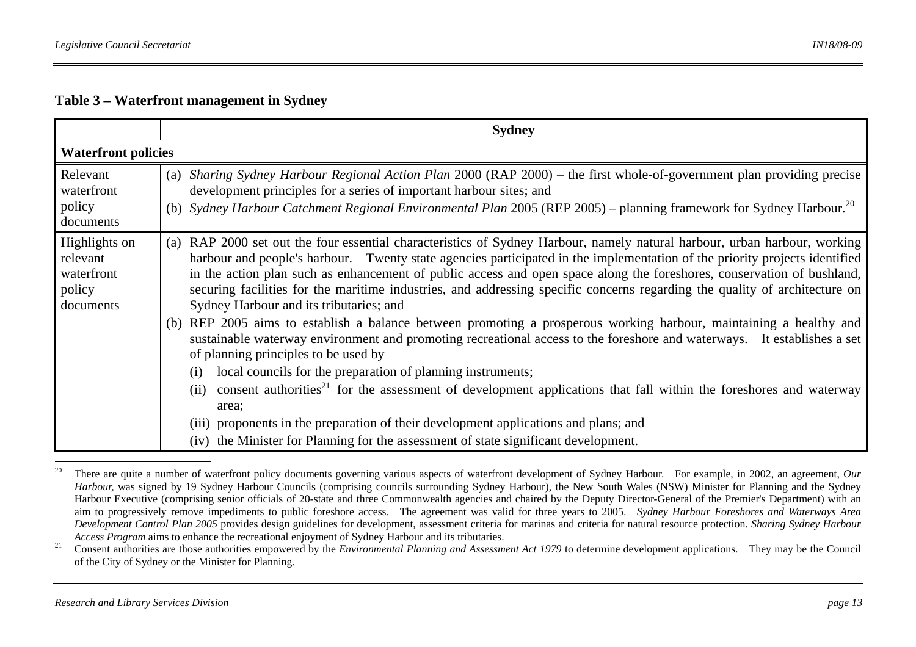#### **Table 3 – Waterfront management in Sydney**

|                                                                | <b>Sydney</b>                                                                                                                                                                                                                                                                                                                                                                                                                                                                                                                                                                                                                                                                                                                                                                                                                                                                                                                |
|----------------------------------------------------------------|------------------------------------------------------------------------------------------------------------------------------------------------------------------------------------------------------------------------------------------------------------------------------------------------------------------------------------------------------------------------------------------------------------------------------------------------------------------------------------------------------------------------------------------------------------------------------------------------------------------------------------------------------------------------------------------------------------------------------------------------------------------------------------------------------------------------------------------------------------------------------------------------------------------------------|
| <b>Waterfront policies</b>                                     |                                                                                                                                                                                                                                                                                                                                                                                                                                                                                                                                                                                                                                                                                                                                                                                                                                                                                                                              |
| Relevant<br>waterfront<br>policy<br>documents                  | (a) Sharing Sydney Harbour Regional Action Plan 2000 (RAP 2000) – the first whole-of-government plan providing precise<br>development principles for a series of important harbour sites; and<br>(b) Sydney Harbour Catchment Regional Environmental Plan 2005 (REP 2005) – planning framework for Sydney Harbour. <sup>20</sup>                                                                                                                                                                                                                                                                                                                                                                                                                                                                                                                                                                                             |
| Highlights on<br>relevant<br>waterfront<br>policy<br>documents | RAP 2000 set out the four essential characteristics of Sydney Harbour, namely natural harbour, urban harbour, working<br>(a)<br>harbour and people's harbour. Twenty state agencies participated in the implementation of the priority projects identified<br>in the action plan such as enhancement of public access and open space along the foreshores, conservation of bushland,<br>securing facilities for the maritime industries, and addressing specific concerns regarding the quality of architecture on<br>Sydney Harbour and its tributaries; and<br>(b) REP 2005 aims to establish a balance between promoting a prosperous working harbour, maintaining a healthy and<br>sustainable waterway environment and promoting recreational access to the foreshore and waterways. It establishes a set<br>of planning principles to be used by<br>local councils for the preparation of planning instruments;<br>(i) |
|                                                                | consent authorities <sup>21</sup> for the assessment of development applications that fall within the foreshores and waterway<br>(ii)<br>area;<br>(iii) proponents in the preparation of their development applications and plans; and                                                                                                                                                                                                                                                                                                                                                                                                                                                                                                                                                                                                                                                                                       |
|                                                                | (iv) the Minister for Planning for the assessment of state significant development.                                                                                                                                                                                                                                                                                                                                                                                                                                                                                                                                                                                                                                                                                                                                                                                                                                          |

<sup>&</sup>lt;sup>20</sup> There are quite a number of waterfront policy documents governing various aspects of waterfront development of Sydney Harbour. For example, in 2002, an agreement, *Our Harbour,* was signed by 19 Sydney Harbour Councils (comprising councils surrounding Sydney Harbour), the New South Wales (NSW) Minister for Planning and the Sydney Harbour Executive (comprising senior officials of 20-state and three Commonwealth agencies and chaired by the Deputy Director-General of the Premier's Department) with an aim to progressively remove impediments to public foreshore access. The agreement was valid for three years to 2005. *Sydney Harbour Foreshores and Waterways Area Development Control Plan 2005* provides design guidelines for development, assessment criteria for marinas and criteria for natural resource protection. *Sharing Sydney Harbour Access Program* aims to enhance the recreational enjoyment of Sydney Harbour and its tributaries.

<sup>&</sup>lt;sup>21</sup> Consent authorities are those authorities empowered by the *Environmental Planning and Assessment Act 1979* to determine development applications. They may be the Council of the City of Sydney or the Minister for Planning.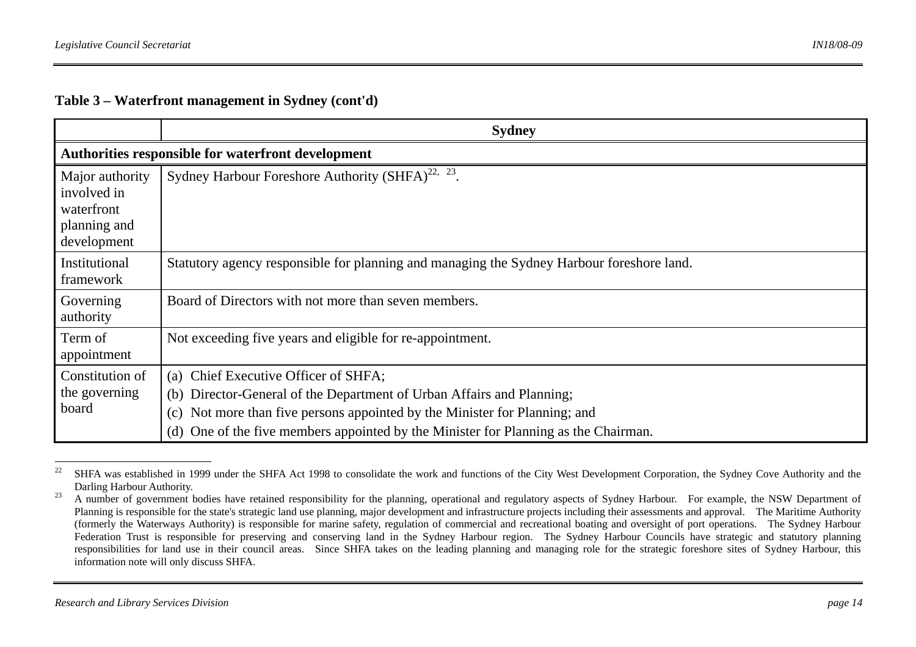#### **Table 3 – Waterfront management in Sydney (cont'd)**

|                                                                             | <b>Sydney</b>                                                                                                                                                                                                                                                                         |
|-----------------------------------------------------------------------------|---------------------------------------------------------------------------------------------------------------------------------------------------------------------------------------------------------------------------------------------------------------------------------------|
|                                                                             | Authorities responsible for waterfront development                                                                                                                                                                                                                                    |
| Major authority<br>involved in<br>waterfront<br>planning and<br>development | Sydney Harbour Foreshore Authority (SHFA) <sup>22, 23</sup> .                                                                                                                                                                                                                         |
| Institutional<br>framework                                                  | Statutory agency responsible for planning and managing the Sydney Harbour foreshore land.                                                                                                                                                                                             |
| Governing<br>authority                                                      | Board of Directors with not more than seven members.                                                                                                                                                                                                                                  |
| Term of<br>appointment                                                      | Not exceeding five years and eligible for re-appointment.                                                                                                                                                                                                                             |
| Constitution of<br>the governing<br>board                                   | (a) Chief Executive Officer of SHFA;<br>(b) Director-General of the Department of Urban Affairs and Planning;<br>Not more than five persons appointed by the Minister for Planning; and<br>(c)<br>(d) One of the five members appointed by the Minister for Planning as the Chairman. |

<sup>&</sup>lt;sup>22</sup> SHFA was established in 1999 under the SHFA Act 1998 to consolidate the work and functions of the City West Development Corporation, the Sydney Cove Authority and the Darling Harbour Authority.

<sup>&</sup>lt;sup>23</sup> A number of government bodies have retained responsibility for the planning, operational and regulatory aspects of Sydney Harbour. For example, the NSW Department of Planning is responsible for the state's strategic land use planning, major development and infrastructure projects including their assessments and approval. The Maritime Authority (formerly the Waterways Authority) is responsible for marine safety, regulation of commercial and recreational boating and oversight of port operations. The Sydney Harbour Federation Trust is responsible for preserving and conserving land in the Sydney Harbour region. The Sydney Harbour Councils have strategic and statutory planning responsibilities for land use in their council areas. Since SHFA takes on the leading planning and managing role for the strategic foreshore sites of Sydney Harbour, this information note will only discuss SHFA.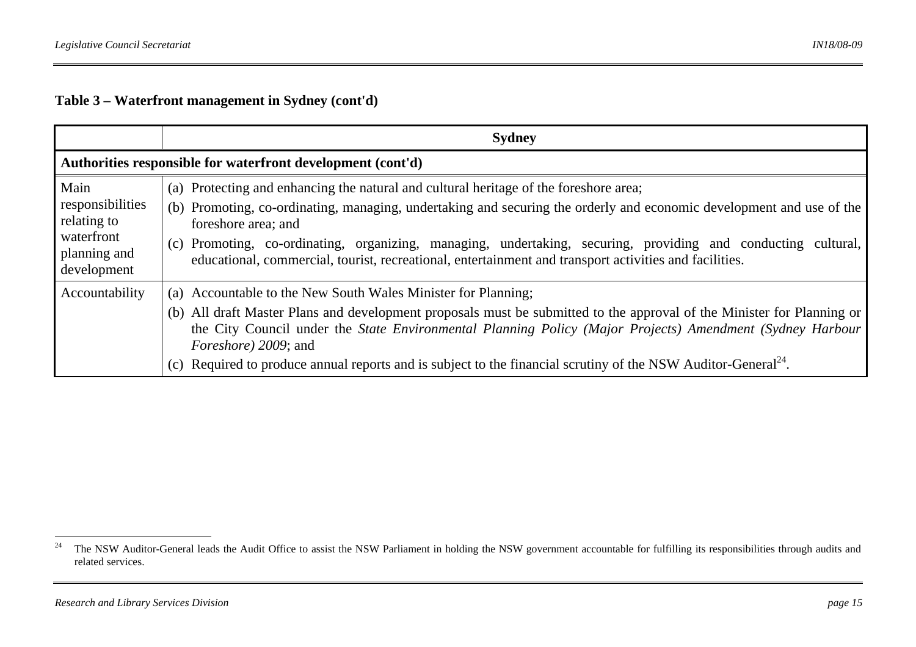# **Table 3 – Waterfront management in Sydney (cont'd)**

|                                                                                      | <b>Sydney</b>                                                                                                                                                                                                                                                                                                                                                                                                                                                      |  |  |  |
|--------------------------------------------------------------------------------------|--------------------------------------------------------------------------------------------------------------------------------------------------------------------------------------------------------------------------------------------------------------------------------------------------------------------------------------------------------------------------------------------------------------------------------------------------------------------|--|--|--|
| Authorities responsible for waterfront development (cont'd)                          |                                                                                                                                                                                                                                                                                                                                                                                                                                                                    |  |  |  |
| Main<br>responsibilities<br>relating to<br>waterfront<br>planning and<br>development | (a) Protecting and enhancing the natural and cultural heritage of the foreshore area;<br>(b) Promoting, co-ordinating, managing, undertaking and securing the orderly and economic development and use of the<br>foreshore area; and<br>(c) Promoting, co-ordinating, organizing, managing, undertaking, securing, providing and conducting cultural,<br>educational, commercial, tourist, recreational, entertainment and transport activities and facilities.    |  |  |  |
| Accountability                                                                       | (a) Accountable to the New South Wales Minister for Planning;<br>(b) All draft Master Plans and development proposals must be submitted to the approval of the Minister for Planning or<br>the City Council under the State Environmental Planning Policy (Major Projects) Amendment (Sydney Harbour<br><i>Foreshore</i> ) 2009; and<br>(c) Required to produce annual reports and is subject to the financial scrutiny of the NSW Auditor-General <sup>24</sup> . |  |  |  |

<sup>&</sup>lt;sup>24</sup> The NSW Auditor-General leads the Audit Office to assist the NSW Parliament in holding the NSW government accountable for fulfilling its responsibilities through audits and related services.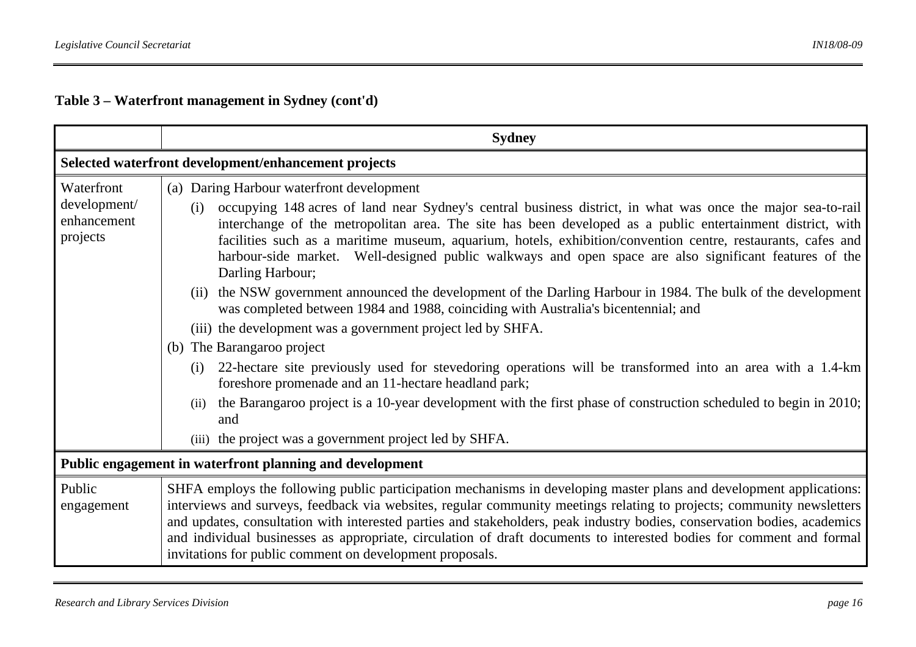# **Table 3 – Waterfront management in Sydney (cont'd)**

|                                                          | <b>Sydney</b>                                                                                                                                                                                                                                                                                                                                                                                                                                                                                                                                                                                                                                                                                                                                                                                                                                                                                                                                                                                                                                                                                                                                                                                             |  |  |  |
|----------------------------------------------------------|-----------------------------------------------------------------------------------------------------------------------------------------------------------------------------------------------------------------------------------------------------------------------------------------------------------------------------------------------------------------------------------------------------------------------------------------------------------------------------------------------------------------------------------------------------------------------------------------------------------------------------------------------------------------------------------------------------------------------------------------------------------------------------------------------------------------------------------------------------------------------------------------------------------------------------------------------------------------------------------------------------------------------------------------------------------------------------------------------------------------------------------------------------------------------------------------------------------|--|--|--|
|                                                          | Selected waterfront development/enhancement projects                                                                                                                                                                                                                                                                                                                                                                                                                                                                                                                                                                                                                                                                                                                                                                                                                                                                                                                                                                                                                                                                                                                                                      |  |  |  |
| Waterfront<br>development/<br>enhancement<br>projects    | (a) Daring Harbour waterfront development<br>occupying 148 acres of land near Sydney's central business district, in what was once the major sea-to-rail<br>(i)<br>interchange of the metropolitan area. The site has been developed as a public entertainment district, with<br>facilities such as a maritime museum, aquarium, hotels, exhibition/convention centre, restaurants, cafes and<br>harbour-side market. Well-designed public walkways and open space are also significant features of the<br>Darling Harbour;<br>(ii) the NSW government announced the development of the Darling Harbour in 1984. The bulk of the development<br>was completed between 1984 and 1988, coinciding with Australia's bicentennial; and<br>(iii) the development was a government project led by SHFA.<br>(b) The Barangaroo project<br>22-hectare site previously used for stevedoring operations will be transformed into an area with a 1.4-km<br>(i)<br>foreshore promenade and an 11-hectare headland park;<br>the Barangaroo project is a 10-year development with the first phase of construction scheduled to begin in 2010;<br>(ii)<br>and<br>(iii) the project was a government project led by SHFA. |  |  |  |
| Public engagement in waterfront planning and development |                                                                                                                                                                                                                                                                                                                                                                                                                                                                                                                                                                                                                                                                                                                                                                                                                                                                                                                                                                                                                                                                                                                                                                                                           |  |  |  |
| Public<br>engagement                                     | SHFA employs the following public participation mechanisms in developing master plans and development applications:<br>interviews and surveys, feedback via websites, regular community meetings relating to projects; community newsletters<br>and updates, consultation with interested parties and stakeholders, peak industry bodies, conservation bodies, academics<br>and individual businesses as appropriate, circulation of draft documents to interested bodies for comment and formal<br>invitations for public comment on development proposals.                                                                                                                                                                                                                                                                                                                                                                                                                                                                                                                                                                                                                                              |  |  |  |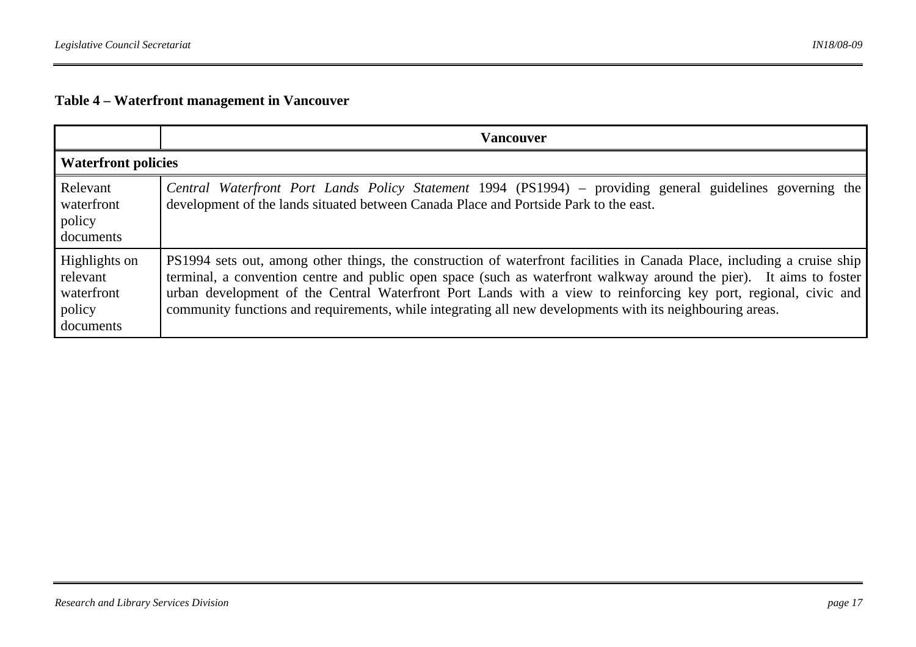# **Table 4 – Waterfront management in Vancouver**

|                                                                | <b>Vancouver</b>                                                                                                                                                                                                                                                                                                                                                                                                                                                               |  |
|----------------------------------------------------------------|--------------------------------------------------------------------------------------------------------------------------------------------------------------------------------------------------------------------------------------------------------------------------------------------------------------------------------------------------------------------------------------------------------------------------------------------------------------------------------|--|
| <b>Waterfront policies</b>                                     |                                                                                                                                                                                                                                                                                                                                                                                                                                                                                |  |
| Relevant<br>waterfront<br>policy<br>documents                  | Central Waterfront Port Lands Policy Statement 1994 (PS1994) – providing general guidelines governing the<br>development of the lands situated between Canada Place and Portside Park to the east.                                                                                                                                                                                                                                                                             |  |
| Highlights on<br>relevant<br>waterfront<br>policy<br>documents | PS1994 sets out, among other things, the construction of waterfront facilities in Canada Place, including a cruise ship<br>terminal, a convention centre and public open space (such as waterfront walkway around the pier). It aims to foster<br>urban development of the Central Waterfront Port Lands with a view to reinforcing key port, regional, civic and<br>community functions and requirements, while integrating all new developments with its neighbouring areas. |  |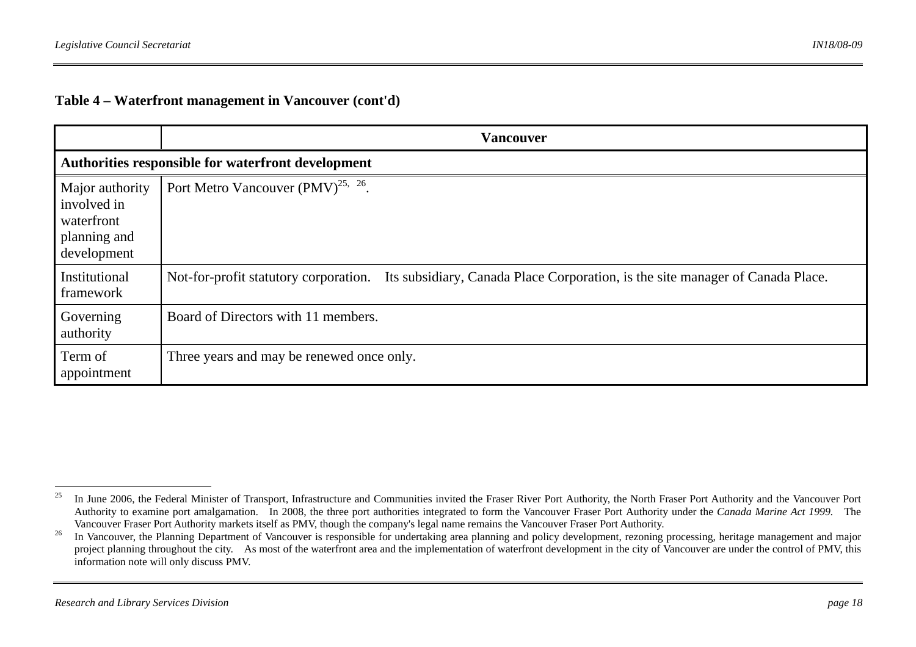#### **Table 4 – Waterfront management in Vancouver (cont'd)**

|                                                                             | <b>Vancouver</b>                                                                                                        |  |
|-----------------------------------------------------------------------------|-------------------------------------------------------------------------------------------------------------------------|--|
| Authorities responsible for waterfront development                          |                                                                                                                         |  |
| Major authority<br>involved in<br>waterfront<br>planning and<br>development | Port Metro Vancouver (PMV) <sup>25, 26</sup> .                                                                          |  |
| Institutional<br>framework                                                  | Its subsidiary, Canada Place Corporation, is the site manager of Canada Place.<br>Not-for-profit statutory corporation. |  |
| Governing<br>authority                                                      | Board of Directors with 11 members.                                                                                     |  |
| Term of<br>appointment                                                      | Three years and may be renewed once only.                                                                               |  |

<sup>&</sup>lt;sup>25</sup> In June 2006, the Federal Minister of Transport, Infrastructure and Communities invited the Fraser River Port Authority, the North Fraser Port Authority and the Vancouver Port Authority to examine port amalgamation. In 2008, the three port authorities integrated to form the Vancouver Fraser Port Authority under the *Canada Marine Act 1999.* The Vancouver Fraser Port Authority markets itself as PMV, though the company's legal name remains the Vancouver Fraser Port Authority.

<sup>&</sup>lt;sup>26</sup> In Vancouver, the Planning Department of Vancouver is responsible for undertaking area planning and policy development, rezoning processing, heritage management and major project planning throughout the city. As most of the waterfront area and the implementation of waterfront development in the city of Vancouver are under the control of PMV, this information note will only discuss PMV.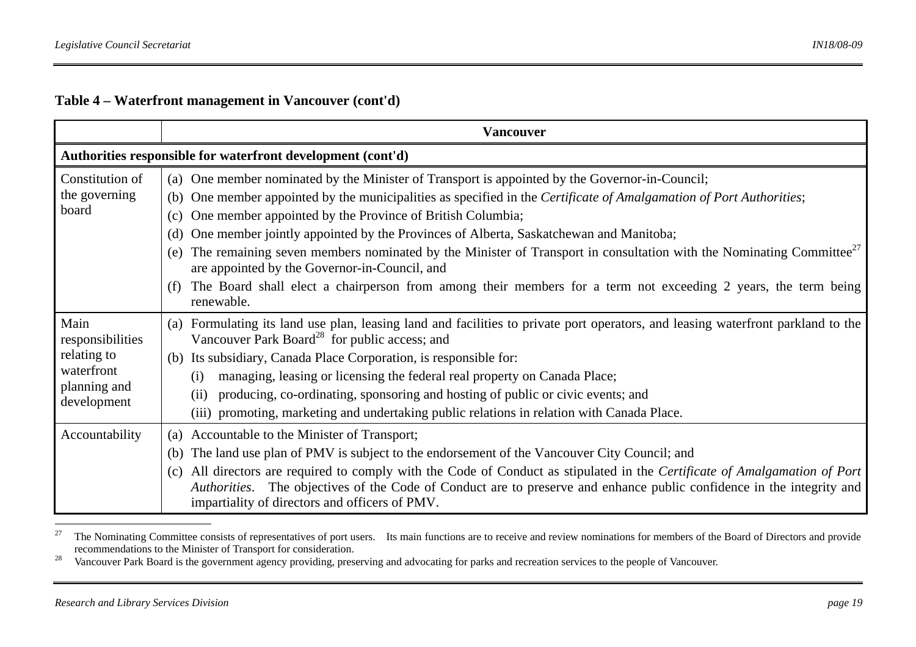# **Table 4 – Waterfront management in Vancouver (cont'd)**

|                                                                                      | <b>Vancouver</b>                                                                                                                                                                                                                                                                                                                                                                                                                                                                                                                                                                                                                                                                                                         |  |  |  |
|--------------------------------------------------------------------------------------|--------------------------------------------------------------------------------------------------------------------------------------------------------------------------------------------------------------------------------------------------------------------------------------------------------------------------------------------------------------------------------------------------------------------------------------------------------------------------------------------------------------------------------------------------------------------------------------------------------------------------------------------------------------------------------------------------------------------------|--|--|--|
| Authorities responsible for waterfront development (cont'd)                          |                                                                                                                                                                                                                                                                                                                                                                                                                                                                                                                                                                                                                                                                                                                          |  |  |  |
| Constitution of<br>the governing<br>board                                            | (a) One member nominated by the Minister of Transport is appointed by the Governor-in-Council;<br>(b) One member appointed by the municipalities as specified in the Certificate of Amalgamation of Port Authorities;<br>One member appointed by the Province of British Columbia;<br>(c)<br>One member jointly appointed by the Provinces of Alberta, Saskatchewan and Manitoba;<br>(d)<br>The remaining seven members nominated by the Minister of Transport in consultation with the Nominating Committee <sup>27</sup><br>(e)<br>are appointed by the Governor-in-Council, and<br>The Board shall elect a chairperson from among their members for a term not exceeding 2 years, the term being<br>(f)<br>renewable. |  |  |  |
| Main<br>responsibilities<br>relating to<br>waterfront<br>planning and<br>development | Formulating its land use plan, leasing land and facilities to private port operators, and leasing waterfront parkland to the<br>(a)<br>Vancouver Park Board <sup>28</sup> for public access; and<br>(b) Its subsidiary, Canada Place Corporation, is responsible for:<br>managing, leasing or licensing the federal real property on Canada Place;<br>(i)<br>producing, co-ordinating, sponsoring and hosting of public or civic events; and<br>(ii)<br>(iii) promoting, marketing and undertaking public relations in relation with Canada Place.                                                                                                                                                                       |  |  |  |
| Accountability                                                                       | (a) Accountable to the Minister of Transport;<br>The land use plan of PMV is subject to the endorsement of the Vancouver City Council; and<br>(b)<br>All directors are required to comply with the Code of Conduct as stipulated in the Certificate of Amalgamation of Port<br>(c)<br>Authorities. The objectives of the Code of Conduct are to preserve and enhance public confidence in the integrity and<br>impartiality of directors and officers of PMV.                                                                                                                                                                                                                                                            |  |  |  |

<sup>27</sup> The Nominating Committee consists of representatives of port users. Its main functions are to receive and review nominations for members of the Board of Directors and provide recommendations to the Minister of Transport for consideration.

<sup>28</sup> Vancouver Park Board is the government agency providing, preserving and advocating for parks and recreation services to the people of Vancouver.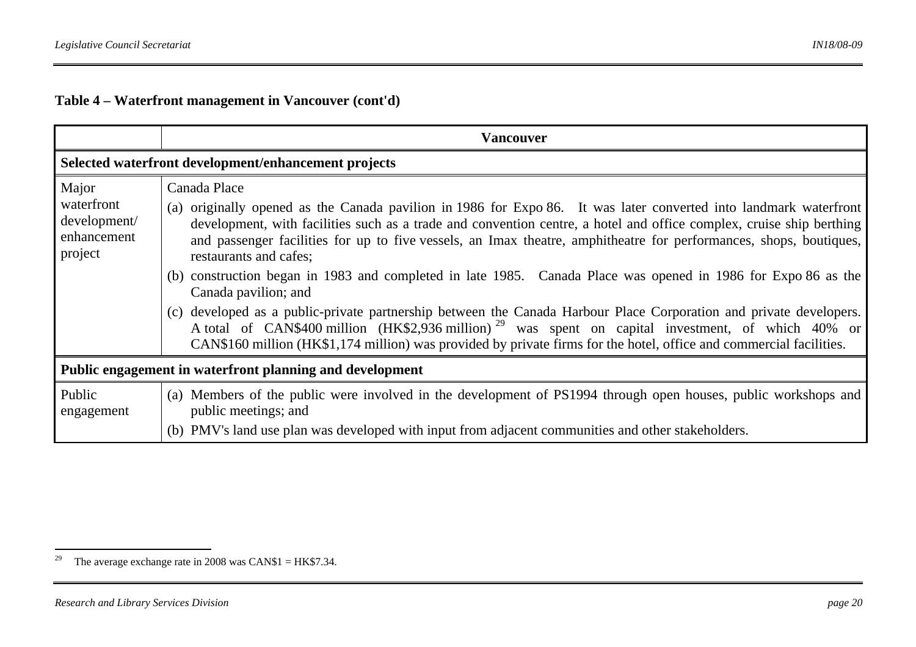# **Table 4 – Waterfront management in Vancouver (cont'd)**

|                                                               | <b>Vancouver</b>                                                                                                                                                                                                                                                                                                                                                                                                                                                                                                                                                                                                                                                                                                                                                                                                                                                                                                  |  |  |  |
|---------------------------------------------------------------|-------------------------------------------------------------------------------------------------------------------------------------------------------------------------------------------------------------------------------------------------------------------------------------------------------------------------------------------------------------------------------------------------------------------------------------------------------------------------------------------------------------------------------------------------------------------------------------------------------------------------------------------------------------------------------------------------------------------------------------------------------------------------------------------------------------------------------------------------------------------------------------------------------------------|--|--|--|
| Selected waterfront development/enhancement projects          |                                                                                                                                                                                                                                                                                                                                                                                                                                                                                                                                                                                                                                                                                                                                                                                                                                                                                                                   |  |  |  |
| Major<br>waterfront<br>development/<br>enhancement<br>project | Canada Place<br>(a) originally opened as the Canada pavilion in 1986 for Expo 86. It was later converted into landmark waterfront<br>development, with facilities such as a trade and convention centre, a hotel and office complex, cruise ship berthing<br>and passenger facilities for up to five vessels, an Imax theatre, amphitheatre for performances, shops, boutiques,<br>restaurants and cafes;<br>(b) construction began in 1983 and completed in late 1985. Canada Place was opened in 1986 for Expo 86 as the<br>Canada pavilion; and<br>(c) developed as a public-private partnership between the Canada Harbour Place Corporation and private developers.<br>A total of CAN\$400 million (HK\$2,936 million) <sup>29</sup> was spent on capital investment, of which 40% or<br>CAN\$160 million (HK\$1,174 million) was provided by private firms for the hotel, office and commercial facilities. |  |  |  |
| Public engagement in waterfront planning and development      |                                                                                                                                                                                                                                                                                                                                                                                                                                                                                                                                                                                                                                                                                                                                                                                                                                                                                                                   |  |  |  |
| Public<br>engagement                                          | (a) Members of the public were involved in the development of PS1994 through open houses, public workshops and<br>public meetings; and<br>(b) PMV's land use plan was developed with input from adjacent communities and other stakeholders.                                                                                                                                                                                                                                                                                                                                                                                                                                                                                                                                                                                                                                                                      |  |  |  |

<sup>&</sup>lt;sup>29</sup> The average exchange rate in 2008 was CAN\$1 = HK\$7.34.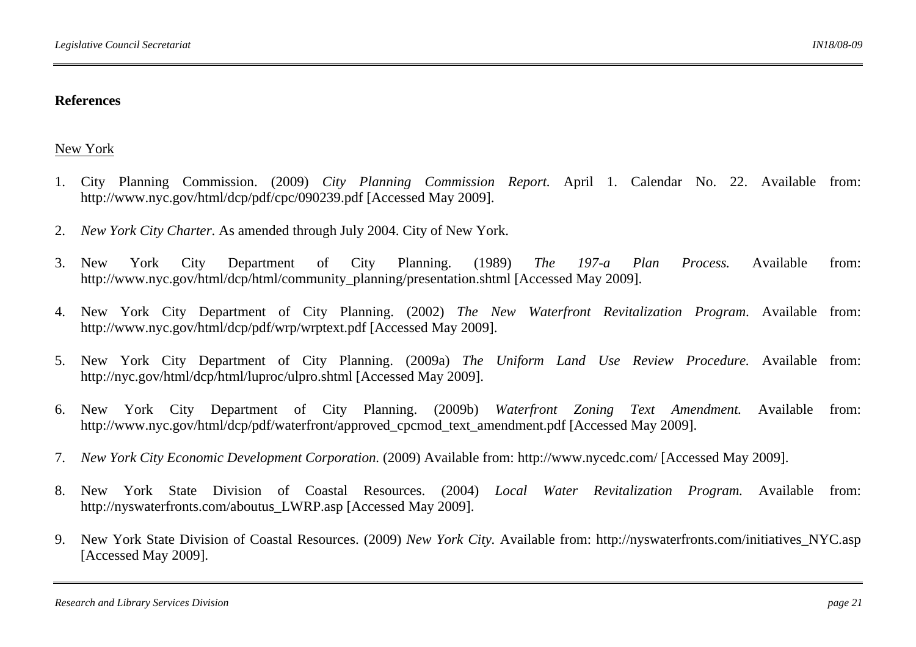### **References**

## New York

- 1. City Planning Commission. (2009) *City Planning Commission Report.* April 1. Calendar No. 22. Available from: http://www.nyc.gov/html/dcp/pdf/cpc/090239.pdf [Accessed May 2009].
- 2.*New York City Charter*. As amended through July 2004. City of New York.
- 3. New York City Department of City Planning. (1989) *The 197-a Plan Process.* Available from: http://www.nyc.gov/html/dcp/html/community\_planning/presentation.shtml [Accessed May 2009].
- 4. New York City Department of City Planning. (2002) *The New Waterfront Revitalization Program*. Available from: http://www.nyc.gov/html/dcp/pdf/wrp/wrptext.pdf [Accessed May 2009].
- 5. New York City Department of City Planning. (2009a) *The Uniform Land Use Review Procedure.* Available from: http://nyc.gov/html/dcp/html/luproc/ulpro.shtml [Accessed May 2009].
- 6. New York City Department of City Planning. (2009b) *Waterfront Zoning Text Amendment.* Available from: http://www.nyc.gov/html/dcp/pdf/waterfront/approved\_cpcmod\_text\_amendment.pdf [Accessed May 2009].
- 7.*New York City Economic Development Corporation.* (2009) Available from: http://www.nycedc.com/ [Accessed May 2009].
- 8. New York State Division of Coastal Resources. (2004) *Local Water Revitalization Program.* Available from: http://nyswaterfronts.com/aboutus\_LWRP.asp [Accessed May 2009].
- 9. New York State Division of Coastal Resources. (2009) *New York City.* Available from: http://nyswaterfronts.com/initiatives\_NYC.asp [Accessed May 2009].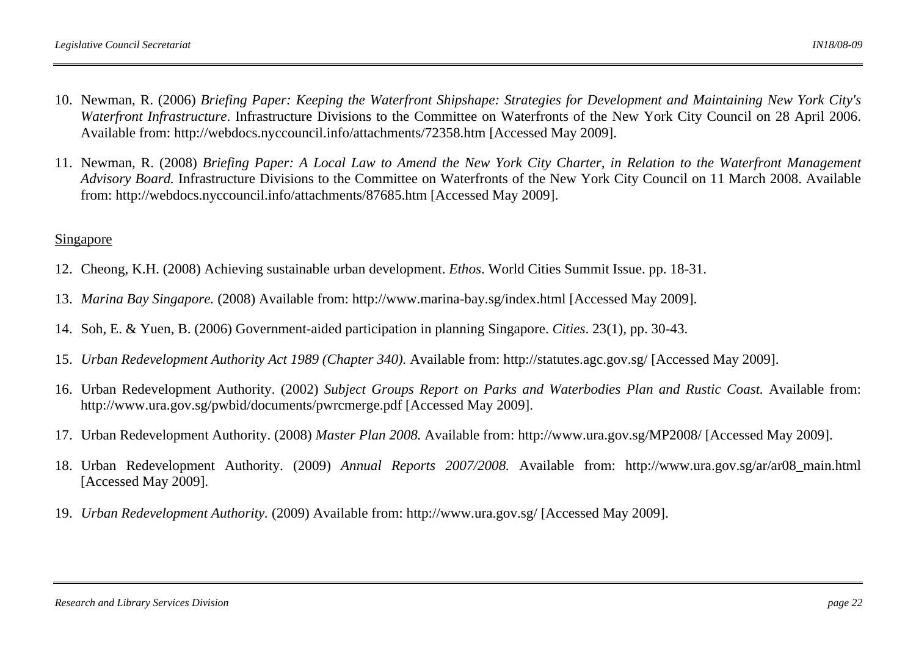- 10. Newman, R. (2006) *Briefing Paper: Keeping the Waterfront Shipshape: Strategies for Development and Maintaining New York City's Waterfront Infrastructure*. Infrastructure Divisions to the Committee on Waterfronts of the New York City Council on 28 April 2006. Available from: http://webdocs.nyccouncil.info/attachments/72358.htm [Accessed May 2009].
- 11. Newman, R. (2008) *Briefing Paper: A Local Law to Amend the New York City Charter, in Relation to the Waterfront Management Advisory Board.* Infrastructure Divisions to the Committee on Waterfronts of the New York City Council on 11 March 2008. Available from: http://webdocs.nyccouncil.info/attachments/87685.htm [Accessed May 2009].

#### Singapore

- 12. Cheong, K.H. (2008) Achieving sustainable urban development. *Ethos*. World Cities Summit Issue. pp. 18-31.
- 13. *Marina Bay Singapore.* (2008) Available from: http://www.marina-bay.sg/index.html [Accessed May 2009].
- 14. Soh, E. & Yuen, B. (2006) Government-aided participation in planning Singapore. *Cities*. 23(1), pp. 30-43.
- 15. *Urban Redevelopment Authority Act 1989 (Chapter 340).* Available from: http://statutes.agc.gov.sg/ [Accessed May 2009].
- 16. Urban Redevelopment Authority. (2002) *Subject Groups Report on Parks and Waterbodies Plan and Rustic Coast.* Available from: http://www.ura.gov.sg/pwbid/documents/pwrcmerge.pdf [Accessed May 2009].
- 17. Urban Redevelopment Authority. (2008) *Master Plan 2008.* Available from: http://www.ura.gov.sg/MP2008/ [Accessed May 2009].
- 18. Urban Redevelopment Authority. (2009) *Annual Reports 2007/2008.* Available from: http://www.ura.gov.sg/ar/ar08\_main.html [Accessed May 2009].
- 19. *Urban Redevelopment Authority.* (2009) Available from: http://www.ura.gov.sg/ [Accessed May 2009].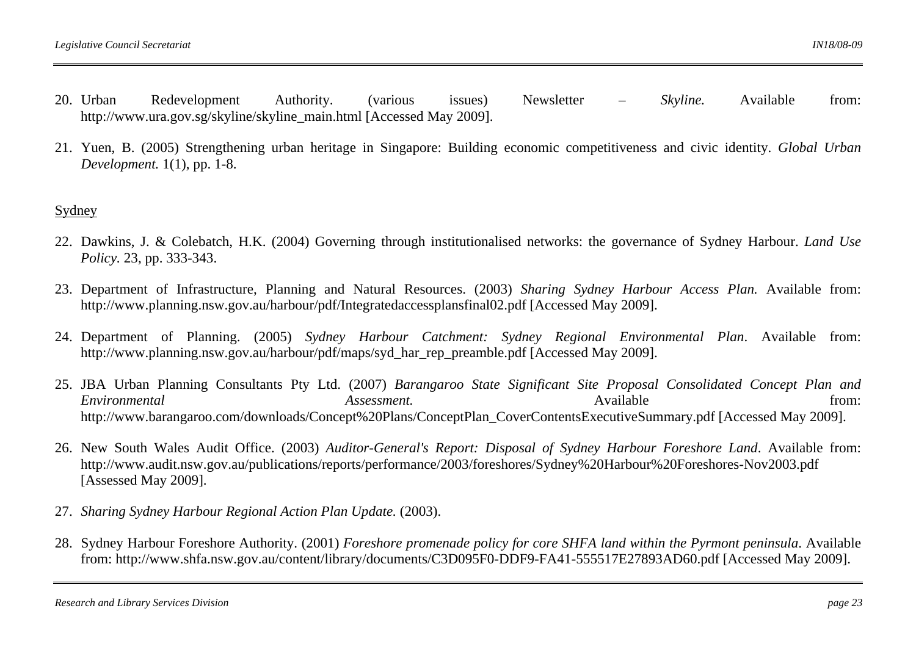- 20. Urban Urban Redevelopment Authority. (various issues) Newsletter *– Skyline.* Available from: http://www.ura.gov.sg/skyline/skyline\_main.html [Accessed May 2009].
- 21. Yuen, B. (2005) Strengthening urban heritage in Singapore: Building economic competitiveness and civic identity. *Global Urban Development.* 1(1), pp. 1-8.

#### Sydney

- 22. Dawkins, J. & Colebatch, H.K. (2004) Governing through institutionalised networks: the governance of Sydney Harbour. *Land Use Policy.* 23, pp. 333-343.
- 23. Department of Infrastructure, Planning and Natural Resources. (2003) *Sharing Sydney Harbour Access Plan.* Available from: http://www.planning.nsw.gov.au/harbour/pdf/Integratedaccessplansfinal02.pdf [Accessed May 2009].
- 24. Department of Planning. (2005) *Sydney Harbour Catchment: Sydney Regional Environmental Plan*. Available from: http://www.planning.nsw.gov.au/harbour/pdf/maps/syd\_har\_rep\_preamble.pdf [Accessed May 2009].
- 25. JBA Urban Planning Consultants Pty Ltd. (2007) *Barangaroo State Significant Site Proposal Consolidated Concept Plan and Environmental Assessment.* Available from: http://www.barangaroo.com/downloads/Concept%20Plans/ConceptPlan\_CoverContentsExecutiveSummary.pdf [Accessed May 2009].
- 26. New South Wales Audit Office. (2003) *Auditor-General's Report: Disposal of Sydney Harbour Foreshore Land*. Available from: http://www.audit.nsw.gov.au/publications/reports/performance/2003/foreshores/Sydney%20Harbour%20Foreshores-Nov2003.pdf [Assessed May 2009].
- 27. *Sharing Sydney Harbour Regional Action Plan Update.* (2003).
- 28. Sydney Harbour Foreshore Authority. (2001) *Foreshore promenade policy for core SHFA land within the Pyrmont peninsula*. Available from: http://www.shfa.nsw.gov.au/content/library/documents/C3D095F0-DDF9-FA41-555517E27893AD60.pdf [Accessed May 2009].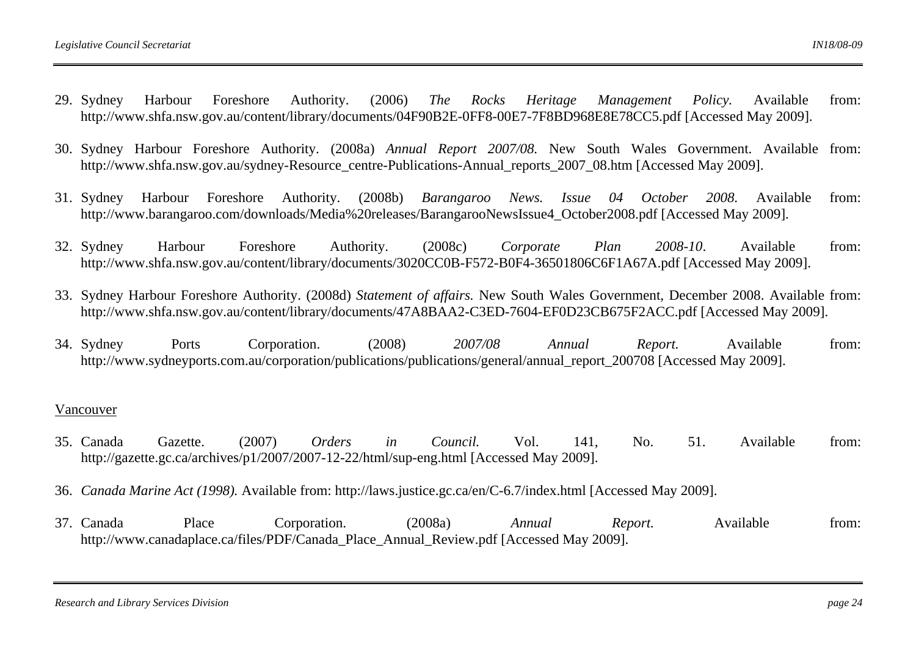- 29. Sydney Harbour Foreshore Authority. (2006) *The Rocks Heritage Management Policy.* Available from: http://www.shfa.nsw.gov.au/content/library/documents/04F90B2E-0FF8-00E7-7F8BD968E8E78CC5.pdf [Accessed May 2009].
- 30. Sydney Harbour Foreshore Authority. (2008a) *Annual Report 2007/08.* New South Wales Government. Available from: http://www.shfa.nsw.gov.au/sydney-Resource\_centre-Publications-Annual\_reports\_2007\_08.htm [Accessed May 2009].
- 31. Sydney Harbour Foreshore Authority. (2008b) *Barangaroo News. Issue 04 October 2008.* Available from: http://www.barangaroo.com/downloads/Media%20releases/BarangarooNewsIssue4\_October2008.pdf [Accessed May 2009].
- 32. Sydney Sydney Harbour Foreshore Authority. (2008c) *Corporate Plan 2008-10*. Available from: http://www.shfa.nsw.gov.au/content/library/documents/3020CC0B-F572-B0F4-36501806C6F1A67A.pdf [Accessed May 2009].
- 33. Sydney Harbour Foreshore Authority. (2008d) *Statement of affairs.* New South Wales Government, December 2008. Available from: http://www.shfa.nsw.gov.au/content/library/documents/47A8BAA2-C3ED-7604-EF0D23CB675F2ACC.pdf [Accessed May 2009].
- 34. Sydney Sydney Ports Corporation. (2008) *2007/08 Annual Report.* Available from: http://www.sydneyports.com.au/corporation/publications/publications/general/annual\_report\_200708 [Accessed May 2009].

#### Vancouver

- 35. Canada Canada Gazette. (2007) *Orders in Council.* Vol. 141, No. 51. Available from: http://gazette.gc.ca/archives/p1/2007/2007-12-22/html/sup-eng.html [Accessed May 2009].
- 36. *Canada Marine Act (1998).* Available from: http://laws.justice.gc.ca/en/C-6.7/index.html [Accessed May 2009].
- 37. Canada Canada Place Corporation. (2008a) *Annual Report.* Available from: http://www.canadaplace.ca/files/PDF/Canada\_Place\_Annual\_Review.pdf [Accessed May 2009].